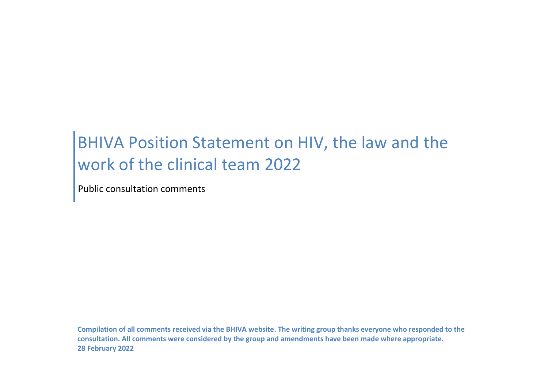## BHIVA Position Statement on HIV, the law and the work of the clinical team 2022

Public consultation comments

**Compilation of all comments received via the BHIVA website. The writing group thanks everyone who responded to the consultation. All comments were considered by the group and amendments have been made where appropriate. 28 February 2022**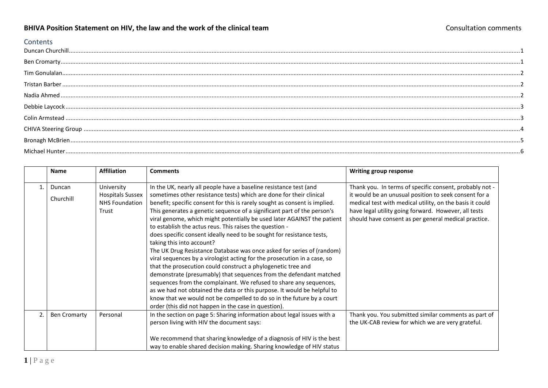## **BHIVA Position Statement on HIV, the law and the work of the clinical team** Consultation Consultation comments

## **Contents**

<span id="page-1-1"></span><span id="page-1-0"></span>

|    | <b>Name</b>         | <b>Affiliation</b>                               | <b>Comments</b>                                                                                                                                   | Writing group response                                                                                            |
|----|---------------------|--------------------------------------------------|---------------------------------------------------------------------------------------------------------------------------------------------------|-------------------------------------------------------------------------------------------------------------------|
| 1. | Duncan              | University                                       | In the UK, nearly all people have a baseline resistance test (and                                                                                 | Thank you. In terms of specific consent, probably not -                                                           |
|    | Churchill           | <b>Hospitals Sussex</b><br><b>NHS Foundation</b> | sometimes other resistance tests) which are done for their clinical<br>benefit; specific consent for this is rarely sought as consent is implied. | it would be an unusual position to seek consent for a<br>medical test with medical utility, on the basis it could |
|    |                     | Trust                                            | This generates a genetic sequence of a significant part of the person's                                                                           | have legal utility going forward. However, all tests                                                              |
|    |                     |                                                  | viral genome, which might potentially be used later AGAINST the patient<br>to establish the actus reus. This raises the question -                | should have consent as per general medical practice.                                                              |
|    |                     |                                                  | does specific consent ideally need to be sought for resistance tests,                                                                             |                                                                                                                   |
|    |                     |                                                  | taking this into account?                                                                                                                         |                                                                                                                   |
|    |                     |                                                  | The UK Drug Resistance Database was once asked for series of (random)                                                                             |                                                                                                                   |
|    |                     |                                                  | viral sequences by a virologist acting for the prosecution in a case, so                                                                          |                                                                                                                   |
|    |                     |                                                  | that the prosecution could construct a phylogenetic tree and                                                                                      |                                                                                                                   |
|    |                     |                                                  | demonstrate (presumably) that sequences from the defendant matched                                                                                |                                                                                                                   |
|    |                     |                                                  | sequences from the complainant. We refused to share any sequences,                                                                                |                                                                                                                   |
|    |                     |                                                  | as we had not obtained the data or this purpose. It would be helpful to                                                                           |                                                                                                                   |
|    |                     |                                                  | know that we would not be compelled to do so in the future by a court                                                                             |                                                                                                                   |
|    |                     |                                                  | order (this did not happen in the case in question).                                                                                              |                                                                                                                   |
| 2. | <b>Ben Cromarty</b> | Personal                                         | In the section on page 5: Sharing information about legal issues with a                                                                           | Thank you. You submitted similar comments as part of                                                              |
|    |                     |                                                  | person living with HIV the document says:                                                                                                         | the UK-CAB review for which we are very grateful.                                                                 |
|    |                     |                                                  |                                                                                                                                                   |                                                                                                                   |
|    |                     |                                                  | We recommend that sharing knowledge of a diagnosis of HIV is the best                                                                             |                                                                                                                   |
|    |                     |                                                  | way to enable shared decision making. Sharing knowledge of HIV status                                                                             |                                                                                                                   |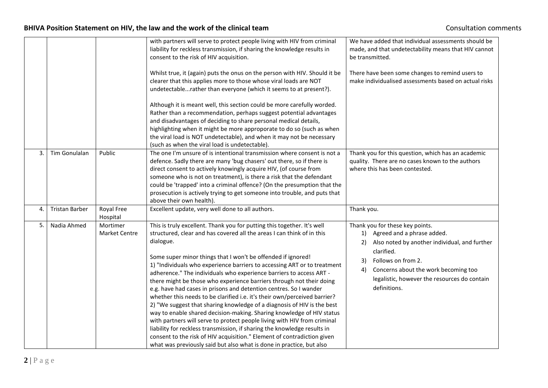<span id="page-2-2"></span><span id="page-2-1"></span><span id="page-2-0"></span>

|    |                       |                                  | with partners will serve to protect people living with HIV from criminal<br>liability for reckless transmission, if sharing the knowledge results in<br>consent to the risk of HIV acquisition.<br>Whilst true, it (again) puts the onus on the person with HIV. Should it be<br>clearer that this applies more to those whose viral loads are NOT<br>undetectablerather than everyone (which it seems to at present?).                                                                                                                                                                                                                                                                                                                                                                                                                                                                                                                                                                                                                                                    | We have added that individual assessments should be<br>made, and that undetectability means that HIV cannot<br>be transmitted.<br>There have been some changes to remind users to<br>make individualised assessments based on actual risks                                      |
|----|-----------------------|----------------------------------|----------------------------------------------------------------------------------------------------------------------------------------------------------------------------------------------------------------------------------------------------------------------------------------------------------------------------------------------------------------------------------------------------------------------------------------------------------------------------------------------------------------------------------------------------------------------------------------------------------------------------------------------------------------------------------------------------------------------------------------------------------------------------------------------------------------------------------------------------------------------------------------------------------------------------------------------------------------------------------------------------------------------------------------------------------------------------|---------------------------------------------------------------------------------------------------------------------------------------------------------------------------------------------------------------------------------------------------------------------------------|
|    |                       |                                  | Although it is meant well, this section could be more carefully worded.<br>Rather than a recommendation, perhaps suggest potential advantages<br>and disadvantages of deciding to share personal medical details,<br>highlighting when it might be more approporate to do so (such as when<br>the viral load is NOT undetectable), and when it may not be necessary<br>(such as when the viral load is undetectable).                                                                                                                                                                                                                                                                                                                                                                                                                                                                                                                                                                                                                                                      |                                                                                                                                                                                                                                                                                 |
| 3. | Tim Gonulalan         | Public                           | The one I'm unsure of is intentional transmission where consent is not a<br>defence. Sadly there are many 'bug chasers' out there, so if there is<br>direct consent to actively knowingly acquire HIV, (of course from<br>someone who is not on treatment), is there a risk that the defendant<br>could be 'trapped' into a criminal offence? (On the presumption that the<br>prosecution is actively trying to get someone into trouble, and puts that<br>above their own health).                                                                                                                                                                                                                                                                                                                                                                                                                                                                                                                                                                                        | Thank you for this question, which has an academic<br>quality. There are no cases known to the authors<br>where this has been contested.                                                                                                                                        |
| 4. | <b>Tristan Barber</b> | Royal Free<br>Hospital           | Excellent update, very well done to all authors.                                                                                                                                                                                                                                                                                                                                                                                                                                                                                                                                                                                                                                                                                                                                                                                                                                                                                                                                                                                                                           | Thank you.                                                                                                                                                                                                                                                                      |
| 5. | Nadia Ahmed           | Mortimer<br><b>Market Centre</b> | This is truly excellent. Thank you for putting this together. It's well<br>structured, clear and has covered all the areas I can think of in this<br>dialogue.<br>Some super minor things that I won't be offended if ignored!<br>1) "Individuals who experience barriers to accessing ART or to treatment<br>adherence." The individuals who experience barriers to access ART -<br>there might be those who experience barriers through not their doing<br>e.g. have had cases in prisons and detention centres. So I wander<br>whether this needs to be clarified i.e. it's their own/perceived barrier?<br>2) "We suggest that sharing knowledge of a diagnosis of HIV is the best<br>way to enable shared decision-making. Sharing knowledge of HIV status<br>with partners will serve to protect people living with HIV from criminal<br>liability for reckless transmission, if sharing the knowledge results in<br>consent to the risk of HIV acquisition." Element of contradiction given<br>what was previously said but also what is done in practice, but also | Thank you for these key points.<br>1) Agreed and a phrase added.<br>Also noted by another individual, and further<br>2)<br>clarified.<br>Follows on from 2.<br>3)<br>Concerns about the work becoming too<br>4)<br>legalistic, however the resources do contain<br>definitions. |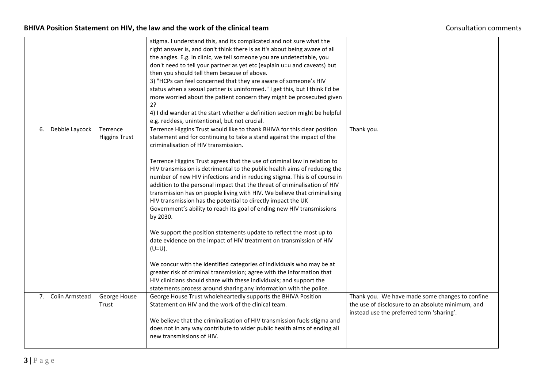<span id="page-3-1"></span><span id="page-3-0"></span>

|    |                |                                  | stigma. I understand this, and its complicated and not sure what the<br>right answer is, and don't think there is as it's about being aware of all<br>the angles. E.g. in clinic, we tell someone you are undetectable, you<br>don't need to tell your partner as yet etc (explain u=u and caveats) but<br>then you should tell them because of above.<br>3) "HCPs can feel concerned that they are aware of someone's HIV<br>status when a sexual partner is uninformed." I get this, but I think I'd be<br>more worried about the patient concern they might be prosecuted given<br>2?<br>4) I did wander at the start whether a definition section might be helpful<br>e.g. reckless, unintentional, but not crucial.                                                                                                                                                                                                                                                                                                                                                                                                                                                                                     |                                                                                                                                                   |
|----|----------------|----------------------------------|--------------------------------------------------------------------------------------------------------------------------------------------------------------------------------------------------------------------------------------------------------------------------------------------------------------------------------------------------------------------------------------------------------------------------------------------------------------------------------------------------------------------------------------------------------------------------------------------------------------------------------------------------------------------------------------------------------------------------------------------------------------------------------------------------------------------------------------------------------------------------------------------------------------------------------------------------------------------------------------------------------------------------------------------------------------------------------------------------------------------------------------------------------------------------------------------------------------|---------------------------------------------------------------------------------------------------------------------------------------------------|
| 6. | Debbie Laycock | Terrence<br><b>Higgins Trust</b> | Terrence Higgins Trust would like to thank BHIVA for this clear position<br>statement and for continuing to take a stand against the impact of the<br>criminalisation of HIV transmission.<br>Terrence Higgins Trust agrees that the use of criminal law in relation to<br>HIV transmission is detrimental to the public health aims of reducing the<br>number of new HIV infections and in reducing stigma. This is of course in<br>addition to the personal impact that the threat of criminalisation of HIV<br>transmission has on people living with HIV. We believe that criminalising<br>HIV transmission has the potential to directly impact the UK<br>Government's ability to reach its goal of ending new HIV transmissions<br>by 2030.<br>We support the position statements update to reflect the most up to<br>date evidence on the impact of HIV treatment on transmission of HIV<br>$(U=U)$ .<br>We concur with the identified categories of individuals who may be at<br>greater risk of criminal transmission; agree with the information that<br>HIV clinicians should share with these individuals; and support the<br>statements process around sharing any information with the police. | Thank you.                                                                                                                                        |
| 7. | Colin Armstead | George House<br>Trust            | George House Trust wholeheartedly supports the BHIVA Position<br>Statement on HIV and the work of the clinical team.<br>We believe that the criminalisation of HIV transmission fuels stigma and<br>does not in any way contribute to wider public health aims of ending all<br>new transmissions of HIV.                                                                                                                                                                                                                                                                                                                                                                                                                                                                                                                                                                                                                                                                                                                                                                                                                                                                                                    | Thank you. We have made some changes to confine<br>the use of disclosure to an absolute minimum, and<br>instead use the preferred term 'sharing'. |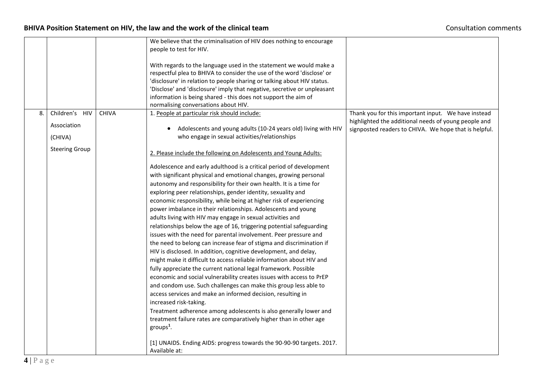<span id="page-4-0"></span>

|    |                       |              | We believe that the criminalisation of HIV does nothing to encourage     |                                                       |
|----|-----------------------|--------------|--------------------------------------------------------------------------|-------------------------------------------------------|
|    |                       |              | people to test for HIV.                                                  |                                                       |
|    |                       |              |                                                                          |                                                       |
|    |                       |              | With regards to the language used in the statement we would make a       |                                                       |
|    |                       |              | respectful plea to BHIVA to consider the use of the word 'disclose' or   |                                                       |
|    |                       |              | 'disclosure' in relation to people sharing or talking about HIV status.  |                                                       |
|    |                       |              | 'Disclose' and 'disclosure' imply that negative, secretive or unpleasant |                                                       |
|    |                       |              | information is being shared - this does not support the aim of           |                                                       |
|    |                       |              | normalising conversations about HIV.                                     |                                                       |
| 8. | Children's HIV        | <b>CHIVA</b> | 1. People at particular risk should include:                             | Thank you for this important input. We have instead   |
|    |                       |              |                                                                          | highlighted the additional needs of young people and  |
|    | Association           |              | Adolescents and young adults (10-24 years old) living with HIV           | signposted readers to CHIVA. We hope that is helpful. |
|    | (CHIVA)               |              | who engage in sexual activities/relationships                            |                                                       |
|    | <b>Steering Group</b> |              |                                                                          |                                                       |
|    |                       |              | 2. Please include the following on Adolescents and Young Adults:         |                                                       |
|    |                       |              | Adolescence and early adulthood is a critical period of development      |                                                       |
|    |                       |              | with significant physical and emotional changes, growing personal        |                                                       |
|    |                       |              | autonomy and responsibility for their own health. It is a time for       |                                                       |
|    |                       |              | exploring peer relationships, gender identity, sexuality and             |                                                       |
|    |                       |              | economic responsibility, while being at higher risk of experiencing      |                                                       |
|    |                       |              | power imbalance in their relationships. Adolescents and young            |                                                       |
|    |                       |              |                                                                          |                                                       |
|    |                       |              | adults living with HIV may engage in sexual activities and               |                                                       |
|    |                       |              | relationships below the age of 16, triggering potential safeguarding     |                                                       |
|    |                       |              | issues with the need for parental involvement. Peer pressure and         |                                                       |
|    |                       |              | the need to belong can increase fear of stigma and discrimination if     |                                                       |
|    |                       |              | HIV is disclosed. In addition, cognitive development, and delay,         |                                                       |
|    |                       |              | might make it difficult to access reliable information about HIV and     |                                                       |
|    |                       |              | fully appreciate the current national legal framework. Possible          |                                                       |
|    |                       |              | economic and social vulnerability creates issues with access to PrEP     |                                                       |
|    |                       |              | and condom use. Such challenges can make this group less able to         |                                                       |
|    |                       |              | access services and make an informed decision, resulting in              |                                                       |
|    |                       |              | increased risk-taking.                                                   |                                                       |
|    |                       |              | Treatment adherence among adolescents is also generally lower and        |                                                       |
|    |                       |              | treatment failure rates are comparatively higher than in other age       |                                                       |
|    |                       |              | groups <sup>1</sup> .                                                    |                                                       |
|    |                       |              |                                                                          |                                                       |
|    |                       |              | [1] UNAIDS. Ending AIDS: progress towards the 90-90-90 targets. 2017.    |                                                       |
|    |                       |              | Available at:                                                            |                                                       |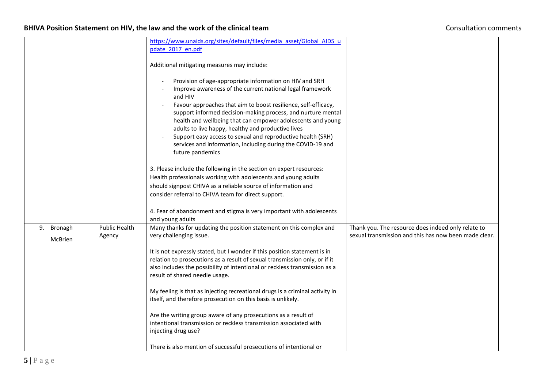<span id="page-5-0"></span>

|    |         |                      | https://www.unaids.org/sites/default/files/media asset/Global AIDS u         |                                                       |
|----|---------|----------------------|------------------------------------------------------------------------------|-------------------------------------------------------|
|    |         |                      | pdate 2017 en.pdf                                                            |                                                       |
|    |         |                      |                                                                              |                                                       |
|    |         |                      | Additional mitigating measures may include:                                  |                                                       |
|    |         |                      |                                                                              |                                                       |
|    |         |                      | Provision of age-appropriate information on HIV and SRH                      |                                                       |
|    |         |                      | Improve awareness of the current national legal framework                    |                                                       |
|    |         |                      | and HIV                                                                      |                                                       |
|    |         |                      | Favour approaches that aim to boost resilience, self-efficacy,               |                                                       |
|    |         |                      | support informed decision-making process, and nurture mental                 |                                                       |
|    |         |                      | health and wellbeing that can empower adolescents and young                  |                                                       |
|    |         |                      | adults to live happy, healthy and productive lives                           |                                                       |
|    |         |                      | Support easy access to sexual and reproductive health (SRH)                  |                                                       |
|    |         |                      | services and information, including during the COVID-19 and                  |                                                       |
|    |         |                      | future pandemics                                                             |                                                       |
|    |         |                      | 3. Please include the following in the section on expert resources:          |                                                       |
|    |         |                      | Health professionals working with adolescents and young adults               |                                                       |
|    |         |                      |                                                                              |                                                       |
|    |         |                      | should signpost CHIVA as a reliable source of information and                |                                                       |
|    |         |                      | consider referral to CHIVA team for direct support.                          |                                                       |
|    |         |                      | 4. Fear of abandonment and stigma is very important with adolescents         |                                                       |
|    |         |                      | and young adults                                                             |                                                       |
| 9. | Bronagh | <b>Public Health</b> | Many thanks for updating the position statement on this complex and          | Thank you. The resource does indeed only relate to    |
|    |         | Agency               | very challenging issue.                                                      | sexual transmission and this has now been made clear. |
|    | McBrien |                      |                                                                              |                                                       |
|    |         |                      | It is not expressly stated, but I wonder if this position statement is in    |                                                       |
|    |         |                      | relation to prosecutions as a result of sexual transmission only, or if it   |                                                       |
|    |         |                      | also includes the possibility of intentional or reckless transmission as a   |                                                       |
|    |         |                      | result of shared needle usage.                                               |                                                       |
|    |         |                      |                                                                              |                                                       |
|    |         |                      | My feeling is that as injecting recreational drugs is a criminal activity in |                                                       |
|    |         |                      | itself, and therefore prosecution on this basis is unlikely.                 |                                                       |
|    |         |                      | Are the writing group aware of any prosecutions as a result of               |                                                       |
|    |         |                      | intentional transmission or reckless transmission associated with            |                                                       |
|    |         |                      | injecting drug use?                                                          |                                                       |
|    |         |                      |                                                                              |                                                       |
|    |         |                      | There is also mention of successful prosecutions of intentional or           |                                                       |